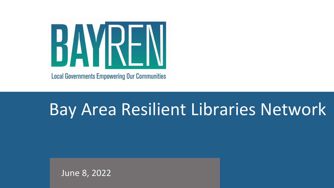

**Local Governments Empowering Our Communities** 

# Bay Area Resilient Libraries Network

June 8, 2022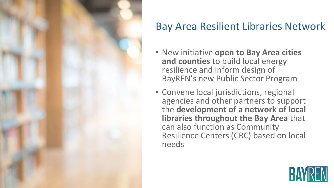

#### Bay Area Resilient Libraries Network

- New initiative **open to Bay Area cities and counties** to build local energy resilience and inform design of BayREN's new Public Sector Program
- **EX Convene local jurisdictions, regional** agencies and other partners to support the **development of a network of local libraries throughout the Bay Area** that can also function as Community Resilience Centers (CRC) based on local needs

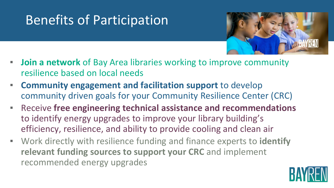### Benefits of Participation



- **EXTE:** Join a network of Bay Area libraries working to improve community resilience based on local needs
- **Community engagement and facilitation support** to develop community driven goals for your Community Resilience Center (CRC)
- Receive **free engineering technical assistance and recommendations**  to identify energy upgrades to improve your library building's efficiency, resilience, and ability to provide cooling and clean air
- Work directly with resilience funding and finance experts to **identify relevant funding sources to support your CRC** and implement recommended energy upgrades

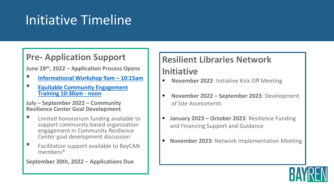### Initiative Timeline

#### **Pre- Application Support**

**June 28th, 2022 – Application Process Opens**

- **[Informational Workshop 9am –](https://www.bayren.org/events/bay-area-resilient-libraries-network-initiative-information-session-2022-06-28) 10:15am**
- **[Equitable Community Engagement](https://www.bayren.org/events/bay-area-resilient-libraries-network-initiative-equitable-community-engagement-training-2022)  Training 10:30am - noon**

**July – September 2022 – Community Resilience Center Goal Development**

- **E** Limited honorarium funding available to support community-based organization engagement in Community Resilience Center goal development discussion
- **EXECUTE:** Facilitation support available to BayCAN members\*

**September 30th, 2022 – Applications Due**

#### **Resilient Libraries Network Initiative**

- **November 2022: Initiative Kick Off Meeting**
- **November 2022 – September 2023**: Development of Site Assessments
- **January 2023 October 2023**: Resilience Funding and Financing Support and Guidance
- **November 2023: Network Implementation Meeting**